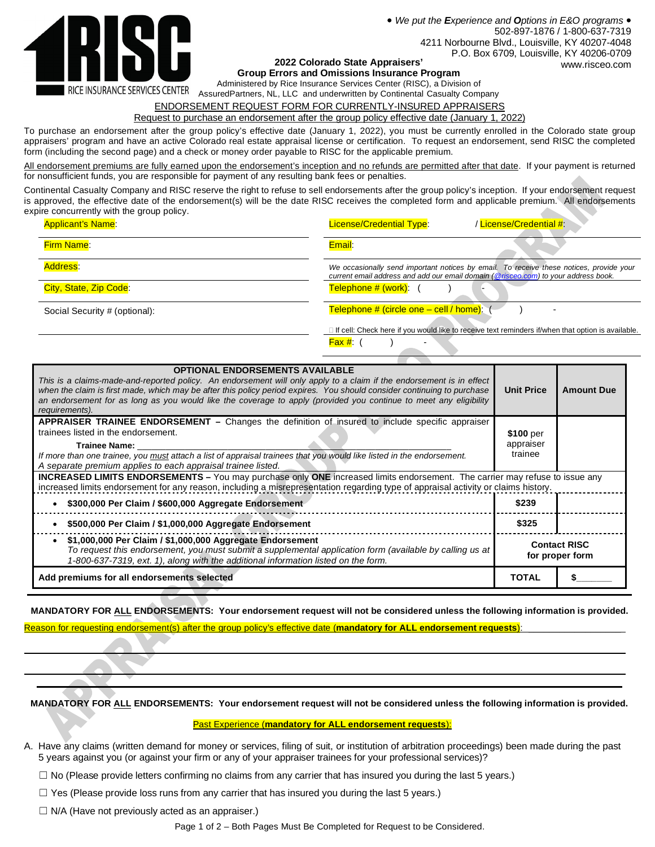

 *We put the Experience and Options in E&O programs* 502-897-1876 / 1-800-637-7319 4211 Norbourne Blvd., Louisville, KY 40207-4048 P.O. Box 6709, Louisville, KY 40206-0709 **2022 Colorado State Appraisers'** www.risceo.com

**Group Errors and Omissions Insurance Program**

Administered by Rice Insurance Services Center (RISC), a Division of

AssuredPartners, NL, LLC and underwritten by Continental Casualty Company

# ENDORSEMENT REQUEST FORM FOR CURRENTLY-INSURED APPRAISERS

Request to purchase an endorsement after the group policy effective date (January 1, 2022)

To purchase an endorsement after the group policy's effective date (January 1, 2022), you must be currently enrolled in the Colorado state group appraisers' program and have an active Colorado real estate appraisal license or certification. To request an endorsement, send RISC the completed form (including the second page) and a check or money order payable to RISC for the applicable premium.

All endorsement premiums are fully earned upon the endorsement's inception and no refunds are permitted after that date. If your payment is returned for nonsufficient funds, you are responsible for payment of any resulting bank fees or penalties.

Continental Casualty Company and RISC reserve the right to refuse to sell endorsements after the group policy's inception. If your endorsement request is approved, the effective date of the endorsement(s) will be the date RISC receives the completed form and applicable premium. All endorsements expire concurrently with the group policy.

| <b>Applicant's Name:</b>      | / License/Credential #:<br><b>License/Credential Type:</b>                                                                                                                    |
|-------------------------------|-------------------------------------------------------------------------------------------------------------------------------------------------------------------------------|
| <b>Firm Name:</b>             | Email:                                                                                                                                                                        |
| Address:                      | We occasionally send important notices by email. To receive these notices, provide your<br>current email address and add our email domain (@risceo.com) to your address book. |
| City, State, Zip Code:        | Telephone # (work): (                                                                                                                                                         |
| Social Security # (optional): | Telephone # (circle one - cell / home): (                                                                                                                                     |
|                               | If cell: Check here if you would like to receive text reminders if/when that option is available.                                                                             |
|                               | $\mathsf{Fax}$ #:<br>$\overline{\phantom{0}}$                                                                                                                                 |

| <b>OPTIONAL ENDORSEMENTS AVAILABLE</b><br>This is a claims-made-and-reported policy. An endorsement will only apply to a claim if the endorsement is in effect<br>when the claim is first made, which may be after this policy period expires. You should consider continuing to purchase<br>an endorsement for as long as you would like the coverage to apply (provided you continue to meet any eligibility<br>requirements). | <b>Unit Price</b>                 | <b>Amount Due</b>                      |  |  |
|----------------------------------------------------------------------------------------------------------------------------------------------------------------------------------------------------------------------------------------------------------------------------------------------------------------------------------------------------------------------------------------------------------------------------------|-----------------------------------|----------------------------------------|--|--|
| <b>APPRAISER TRAINEE ENDORSEMENT –</b> Changes the definition of insured to include specific appraiser<br>trainees listed in the endorsement.<br>Trainee Name:<br>If more than one trainee, you must attach a list of appraisal trainees that you would like listed in the endorsement.<br>A separate premium applies to each appraisal trainee listed.                                                                          | \$100 per<br>appraiser<br>trainee |                                        |  |  |
| <b>INCREASED LIMITS ENDORSEMENTS</b> – You may purchase only ONE increased limits endorsement. The carrier may refuse to issue any<br>increased limits endorsement for any reason, including a misrepresentation regarding type of appraisal activity or claims history.                                                                                                                                                         |                                   |                                        |  |  |
| \$300,000 Per Claim / \$600,000 Aggregate Endorsement                                                                                                                                                                                                                                                                                                                                                                            | \$239                             |                                        |  |  |
| \$500,000 Per Claim / \$1,000,000 Aggregate Endorsement                                                                                                                                                                                                                                                                                                                                                                          | \$325                             |                                        |  |  |
| \$1,000,000 Per Claim / \$1,000,000 Aggregate Endorsement<br>To request this endorsement, you must submit a supplemental application form (available by calling us at<br>1-800-637-7319, ext. 1), along with the additional information listed on the form.                                                                                                                                                                      |                                   | <b>Contact RISC</b><br>for proper form |  |  |
| Add premiums for all endorsements selected                                                                                                                                                                                                                                                                                                                                                                                       |                                   |                                        |  |  |

**MANDATORY FOR ALL ENDORSEMENTS: Your endorsement request will not be considered unless the following information is provided.**

 \_\_\_\_\_\_\_\_\_\_\_\_\_\_\_\_\_\_\_\_\_\_\_\_\_\_\_\_\_\_\_\_\_\_\_\_\_\_\_\_\_\_\_\_\_\_\_\_\_\_\_\_\_\_\_\_\_\_\_\_\_\_\_\_\_\_\_\_\_\_\_\_\_\_\_\_\_\_\_\_\_\_\_\_\_\_\_\_\_\_\_\_\_\_\_\_\_\_\_\_\_\_\_\_\_\_\_\_\_\_\_\_\_\_\_\_ \_\_\_\_\_\_\_\_\_\_\_\_\_\_\_\_\_\_\_\_\_\_\_\_\_\_\_\_\_\_\_\_\_\_\_\_\_\_\_\_\_\_\_\_\_\_\_\_\_\_\_\_\_\_\_\_\_\_\_\_\_\_\_\_\_\_\_\_\_\_\_\_\_\_\_\_\_\_\_\_\_\_\_\_\_\_\_\_\_\_\_\_\_\_\_\_\_\_\_\_\_\_\_\_\_\_\_\_\_\_\_\_\_\_\_\_

Reason for requesting endorsement(s) after the group policy's effective date (mandatory for ALL endorsement requests):

**MANDATORY FOR ALL ENDORSEMENTS: Your endorsement request will not be considered unless the following information is provided.**

### Past Experience (**mandatory for ALL endorsement requests**):

- A. Have any claims (written demand for money or services, filing of suit, or institution of arbitration proceedings) been made during the past 5 years against you (or against your firm or any of your appraiser trainees for your professional services)?
	- ☐ No (Please provide letters confirming no claims from any carrier that has insured you during the last 5 years.)
	- $\Box$  Yes (Please provide loss runs from any carrier that has insured you during the last 5 years.)

 $\Box$  N/A (Have not previously acted as an appraiser.)

Page 1 of 2 – Both Pages Must Be Completed for Request to be Considered.